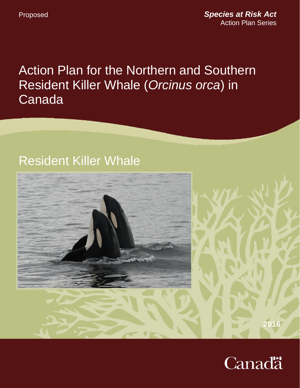Action Plan for the Northern and Southern Resident Killer Whale (*Orcinus orca*) in Canada

# Resident Killer Whale



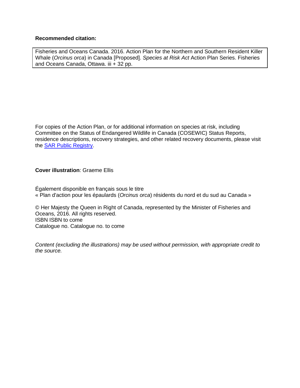### **Recommended citation:**

Fisheries and Oceans Canada. 2016. Action Plan for the Northern and Southern Resident Killer Whale (*Orcinus orca*) in Canada [Proposed]. *Species at Risk Act* Action Plan Series. Fisheries and Oceans Canada, Ottawa. iii + 32 pp.

For copies of the Action Plan, or for additional information on species at risk, including Committee on the Status of Endangered Wildlife in Canada (COSEWIC) Status Reports, residence descriptions, recovery strategies, and other related recovery documents, please visit the [SAR Public Registry.](http://www.sararegistry.gc.ca/default.asp?lang=En&n=24F7211B-1)

#### **Cover illustration**: Graeme Ellis

Également disponible en français sous le titre « Plan d'action pour les épaulards (*Orcinus orca*) résidents du nord et du sud au Canada »

© Her Majesty the Queen in Right of Canada, represented by the Minister of Fisheries and Oceans, 2016. All rights reserved. ISBN ISBN to come Catalogue no. Catalogue no. to come

*Content (excluding the illustrations) may be used without permission, with appropriate credit to the source.*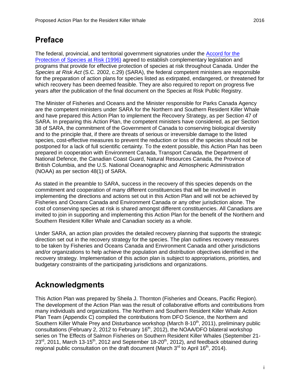# <span id="page-2-0"></span>**Preface**

The federal, provincial, and territorial government signatories under the [Accord for the](http://www.sararegistry.gc.ca/default.asp?lang=En&n=92D90833-1)  [Protection of Species at Risk \(1996\)](http://www.sararegistry.gc.ca/default.asp?lang=En&n=92D90833-1) agreed to establish complementary legislation and programs that provide for effective protection of species at risk throughout Canada. Under the *Species at Risk Act* (S.C. 2002, c.29) (SARA), the federal competent ministers are responsible for the preparation of action plans for species listed as extirpated, endangered, or threatened for which recovery has been deemed feasible. They are also required to report on progress five years after the publication of the final document on the Species at Risk Public Registry.

The Minister of Fisheries and Oceans and the Minister responsible for Parks Canada Agency are the competent ministers under SARA for the Northern and Southern Resident Killer Whale and have prepared this Action Plan to implement the Recovery Strategy, as per Section 47 of SARA. In preparing this Action Plan, the competent ministers have considered, as per Section 38 of SARA, the commitment of the Government of Canada to conserving biological diversity and to the principle that, if there are threats of serious or irreversible damage to the listed species, cost-effective measures to prevent the reduction or loss of the species should not be postponed for a lack of full scientific certainty. To the extent possible, this Action Plan has been prepared in cooperation with Environment Canada, Transport Canada, the Department of National Defence, the Canadian Coast Guard, Natural Resources Canada, the Province of British Columbia, and the U.S. National Oceanographic and Atmospheric Administration (NOAA) as per section 48(1) of SARA.

As stated in the preamble to SARA, success in the recovery of this species depends on the commitment and cooperation of many different constituencies that will be involved in implementing the directions and actions set out in this Action Plan and will not be achieved by Fisheries and Oceans Canada and Environment Canada or any other jurisdiction alone. The cost of conserving species at risk is shared amongst different constituencies. All Canadians are invited to join in supporting and implementing this Action Plan for the benefit of the Northern and Southern Resident Killer Whale and Canadian society as a whole.

Under SARA, an action plan provides the detailed recovery planning that supports the strategic direction set out in the recovery strategy for the species. The plan outlines recovery measures to be taken by Fisheries and Oceans Canada and Environment Canada and other jurisdictions and/or organizations to help achieve the population and distribution objectives identified in the recovery strategy. Implementation of this action plan is subject to appropriations, priorities, and budgetary constraints of the participating jurisdictions and organizations.

# <span id="page-2-1"></span>**Acknowledgments**

This Action Plan was prepared by Sheila J. Thornton (Fisheries and Oceans, Pacific Region). The development of the Action Plan was the result of collaborative efforts and contributions from many individuals and organizations. The Northern and Southern Resident Killer Whale Action Plan Team (Appendix C) compiled the contributions from DFO Science, the Northern and Southern Killer Whale Prey and Disturbance workshop (March 8-10<sup>th</sup>, 2011), preliminary public consultations (February 2, 2012 to February 16<sup>th</sup>, 2012), the NOAA/DFO bilateral workshop series on The Effects of Salmon Fisheries on Southern Resident Killer Whales (September 21-  $23<sup>rd</sup>$ , 2011, March 13-15<sup>th</sup>, 2012 and September 18-20<sup>th</sup>, 2012), and feedback obtained during regional public consultation on the draft document (March  $3<sup>rd</sup>$  to April 16<sup>th</sup>, 2014).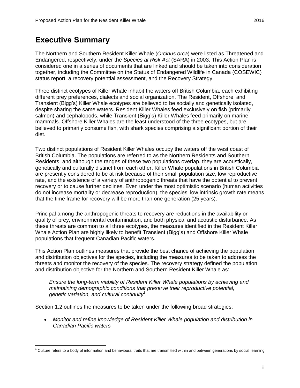### <span id="page-3-0"></span>**Executive Summary**

 $\overline{a}$ 

The Northern and Southern Resident Killer Whale (*Orcinus orca*) were listed as Threatened and Endangered, respectively, under the *Species at Risk Act* (SARA) in 2003. This Action Plan is considered one in a series of documents that are linked and should be taken into consideration together, including the Committee on the Status of Endangered Wildlife in Canada (COSEWIC) status report, a recovery potential assessment, and the Recovery Strategy.

Three distinct ecotypes of Killer Whale inhabit the waters off British Columbia, each exhibiting different prey preferences, dialects and social organization. The Resident, Offshore, and Transient (Bigg's) Killer Whale ecotypes are believed to be socially and genetically isolated, despite sharing the same waters. Resident Killer Whales feed exclusively on fish (primarily salmon) and cephalopods, while Transient (Bigg's) Killer Whales feed primarily on marine mammals. Offshore Killer Whales are the least understood of the three ecotypes, but are believed to primarily consume fish, with shark species comprising a significant portion of their diet.

Two distinct populations of Resident Killer Whales occupy the waters off the west coast of British Columbia. The populations are referred to as the Northern Residents and Southern Residents, and although the ranges of these two populations overlap, they are acoustically, genetically and culturally distinct from each other. Killer Whale populations in British Columbia are presently considered to be at risk because of their small population size, low reproductive rate, and the existence of a variety of anthropogenic threats that have the potential to prevent recovery or to cause further declines. Even under the most optimistic scenario (human activities do not increase mortality or decrease reproduction), the species' low intrinsic growth rate means that the time frame for recovery will be more than one generation (25 years).

Principal among the anthropogenic threats to recovery are reductions in the availability or quality of prey, environmental contamination, and both physical and acoustic disturbance. As these threats are common to all three ecotypes, the measures identified in the Resident Killer Whale Action Plan are highly likely to benefit Transient (Bigg's) and Offshore Killer Whale populations that frequent Canadian Pacific waters.

This Action Plan outlines measures that provide the best chance of achieving the population and distribution objectives for the species, including the measures to be taken to address the threats and monitor the recovery of the species. The recovery strategy defined the population and distribution objective for the Northern and Southern Resident Killer Whale as:

*Ensure the long-term viability of Resident Killer Whale populations by achieving and maintaining demographic conditions that preserve their reproductive potential, genetic variation, and cultural continuity<sup>1</sup> .*

Section 1.2 outlines the measures to be taken under the following broad strategies:

 *Monitor and refine knowledge of Resident Killer Whale population and distribution in Canadian Pacific waters*

 $1$  Culture refers to a body of information and behavioural traits that are transmitted within and between generations by social learning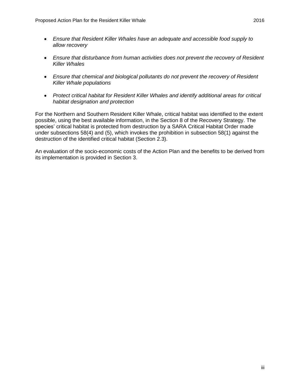- *Ensure that Resident Killer Whales have an adequate and accessible food supply to allow recovery*
- *Ensure that disturbance from human activities does not prevent the recovery of Resident Killer Whales*
- *Ensure that chemical and biological pollutants do not prevent the recovery of Resident Killer Whale populations*
- *Protect critical habitat for Resident Killer Whales and identify additional areas for critical habitat designation and protection*

For the Northern and Southern Resident Killer Whale, critical habitat was identified to the extent possible, using the best available information, in the Section 8 of the Recovery Strategy. The species' critical habitat is protected from destruction by a SARA Critical Habitat Order made under subsections 58(4) and (5), which invokes the prohibition in subsection 58(1) against the destruction of the identified critical habitat (Section 2.3).

An evaluation of the socio-economic costs of the Action Plan and the benefits to be derived from its implementation is provided in Section 3.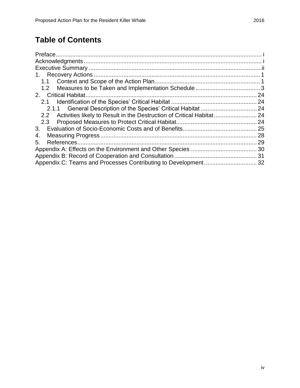# **Table of Contents**

| 2.1                                                                       |  |
|---------------------------------------------------------------------------|--|
|                                                                           |  |
| 2.2 Activities likely to Result in the Destruction of Critical Habitat 24 |  |
| $2.3-$                                                                    |  |
|                                                                           |  |
| 4.                                                                        |  |
| 5.                                                                        |  |
|                                                                           |  |
|                                                                           |  |
|                                                                           |  |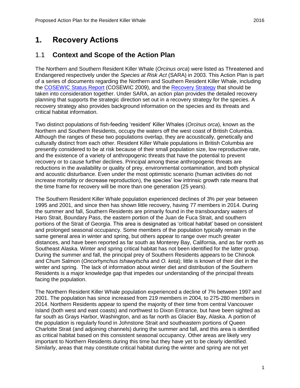## <span id="page-6-0"></span>**1. Recovery Actions**

### <span id="page-6-1"></span>1.1 **Context and Scope of the Action Plan**

The Northern and Southern Resident Killer Whale (*Orcinus orca*) were listed as Threatened and Endangered respectively under the *Species at Risk Act* (SARA) in 2003. This Action Plan is part of a series of documents regarding the Northern and Southern Resident Killer Whale, including the [COSEWIC Status Report](http://www.registrelep-sararegistry.gc.ca/document/default_e.cfm?documentID=1831) (COSEWIC 2009), and the [Recovery Strategy](http://www.sararegistry.gc.ca/document/doc1341a/ind_e.cfm) that should be taken into consideration together. Under SARA, an action plan provides the detailed recovery planning that supports the strategic direction set out in a recovery strategy for the species. A recovery strategy also provides background information on the species and its threats and critical habitat information.

Two distinct populations of fish-feeding 'resident' Killer Whales (*Orcinus orca*), known as the Northern and Southern Residents, occupy the waters off the west coast of British Columbia. Although the ranges of these two populations overlap, they are acoustically, genetically and culturally distinct from each other. Resident Killer Whale populations in British Columbia are presently considered to be at risk because of their small population size, low reproductive rate, and the existence of a variety of anthropogenic threats that have the potential to prevent recovery or to cause further declines. Principal among these anthropogenic threats are reductions in the availability or quality of prey, environmental contamination, and both physical and acoustic disturbance. Even under the most optimistic scenario (human activities do not increase mortality or decrease reproduction), the species' low intrinsic growth rate means that the time frame for recovery will be more than one generation (25 years).

The Southern Resident Killer Whale population experienced declines of 3% per year between 1995 and 2001, and since then has shown little recovery, having 77 members in 2014. During the summer and fall, Southern Residents are primarily found in the transboundary waters of Haro Strait, Boundary Pass, the eastern portion of the Juan de Fuca Strait, and southern portions of the Strait of Georgia. This area is designated as 'critical habitat' based on consistent and prolonged seasonal occupancy. Some members of the population typically remain in the same general area in winter and spring, but others appear to range over much greater distances, and have been reported as far south as Monterey Bay, California, and as far north as Southeast Alaska. Winter and spring critical habitat has not been identified for the latter group. During the summer and fall, the principal prey of Southern Residents appears to be Chinook and Chum Salmon (*Oncorhynchus tshawytscha* and *O. keta*); little is known of their diet in the winter and spring. The lack of information about winter diet and distribution of the Southern Residents is a major knowledge gap that impedes our understanding of the principal threats facing the population.

The Northern Resident Killer Whale population experienced a decline of 7% between 1997 and 2001. The population has since increased from 219 members in 2004, to 275-280 members in 2014. Northern Residents appear to spend the majority of their time from central Vancouver Island (both west and east coasts) and northwest to Dixon Entrance, but have been sighted as far south as Grays Harbor, Washington, and as far north as Glacier Bay, Alaska. A portion of the population is regularly found in Johnstone Strait and southeastern portions of Queen Charlotte Strait (and adjoining channels) during the summer and fall, and this area is identified as critical habitat based on this consistent seasonal occupancy. Other areas are likely very important to Northern Residents during this time but they have yet to be clearly identified. Similarly, areas that may constitute critical habitat during the winter and spring are not yet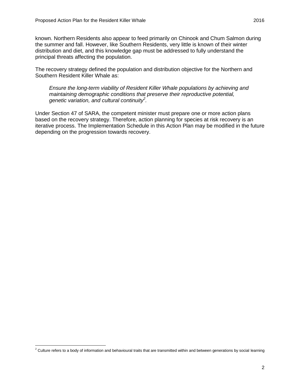known. Northern Residents also appear to feed primarily on Chinook and Chum Salmon during the summer and fall. However, like Southern Residents, very little is known of their winter distribution and diet, and this knowledge gap must be addressed to fully understand the principal threats affecting the population.

The recovery strategy defined the population and distribution objective for the Northern and Southern Resident Killer Whale as:

*Ensure the long-term viability of Resident Killer Whale populations by achieving and maintaining demographic conditions that preserve their reproductive potential, genetic variation, and cultural continuity<sup>2</sup> .*

Under Section 47 of SARA, the competent minister must prepare one or more action plans based on the recovery strategy. Therefore, action planning for species at risk recovery is an iterative process. The Implementation Schedule in this Action Plan may be modified in the future depending on the progression towards recovery.

 $\overline{a}$  $^2$  Culture refers to a body of information and behavioural traits that are transmitted within and between generations by social learning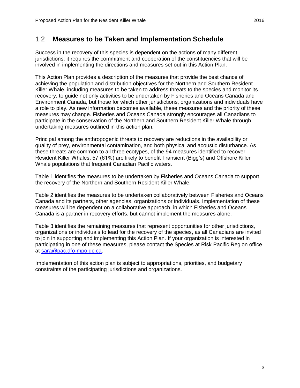### <span id="page-8-0"></span>1.2 **Measures to be Taken and Implementation Schedule**

Success in the recovery of this species is dependent on the actions of many different jurisdictions; it requires the commitment and cooperation of the constituencies that will be involved in implementing the directions and measures set out in this Action Plan.

This Action Plan provides a description of the measures that provide the best chance of achieving the population and distribution objectives for the Northern and Southern Resident Killer Whale, including measures to be taken to address threats to the species and monitor its recovery, to guide not only activities to be undertaken by Fisheries and Oceans Canada and Environment Canada, but those for which other jurisdictions, organizations and individuals have a role to play. As new information becomes available, these measures and the priority of these measures may change. Fisheries and Oceans Canada strongly encourages all Canadians to participate in the conservation of the Northern and Southern Resident Killer Whale through undertaking measures outlined in this action plan.

Principal among the anthropogenic threats to recovery are reductions in the availability or quality of prey, environmental contamination, and both physical and acoustic disturbance. As these threats are common to all three ecotypes, of the 94 measures identified to recover Resident Killer Whales, 57 (61%) are likely to benefit Transient (Bigg's) and Offshore Killer Whale populations that frequent Canadian Pacific waters.

Table 1 identifies the measures to be undertaken by Fisheries and Oceans Canada to support the recovery of the Northern and Southern Resident Killer Whale.

Table 2 identifies the measures to be undertaken collaboratively between Fisheries and Oceans Canada and its partners, other agencies, organizations or individuals. Implementation of these measures will be dependent on a collaborative approach, in which Fisheries and Oceans Canada is a partner in recovery efforts, but cannot implement the measures alone.

Table 3 identifies the remaining measures that represent opportunities for other jurisdictions, organizations or individuals to lead for the recovery of the species, as all Canadians are invited to join in supporting and implementing this Action Plan. If your organization is interested in participating in one of these measures, please contact the Species at Risk Pacific Region office at [sara@pac.dfo-mpo.gc.ca.](mailto:sara@pac.dfo-mpo.gc.ca)

Implementation of this action plan is subject to appropriations, priorities, and budgetary constraints of the participating jurisdictions and organizations.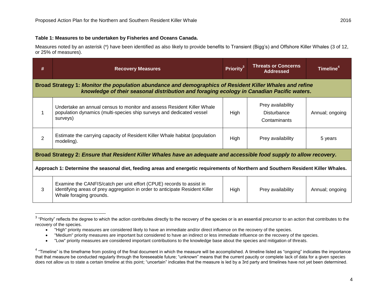#### **Table 1: Measures to be undertaken by Fisheries and Oceans Canada.**

Measures noted by an asterisk (\*) have been identified as also likely to provide benefits to Transient (Bigg's) and Offshore Killer Whales (3 of 12, or 25% of measures).

| #                                                                                                                                                                                                     | <b>Recovery Measures</b>                                                                                                                                                        | Priority <sup>3</sup> | <b>Threats or Concerns</b><br><b>Addressed</b>   | Timeline <sup>4</sup> |  |  |
|-------------------------------------------------------------------------------------------------------------------------------------------------------------------------------------------------------|---------------------------------------------------------------------------------------------------------------------------------------------------------------------------------|-----------------------|--------------------------------------------------|-----------------------|--|--|
| Broad Strategy 1: Monitor the population abundance and demographics of Resident Killer Whales and refine<br>knowledge of their seasonal distribution and foraging ecology in Canadian Pacific waters. |                                                                                                                                                                                 |                       |                                                  |                       |  |  |
|                                                                                                                                                                                                       | Undertake an annual census to monitor and assess Resident Killer Whale<br>population dynamics (multi-species ship surveys and dedicated vessel<br>surveys)                      | High                  | Prey availability<br>Disturbance<br>Contaminants | Annual; ongoing       |  |  |
| 2                                                                                                                                                                                                     | Estimate the carrying capacity of Resident Killer Whale habitat (population<br>modeling).                                                                                       | High                  | Prey availability                                | 5 years               |  |  |
|                                                                                                                                                                                                       | Broad Strategy 2: Ensure that Resident Killer Whales have an adequate and accessible food supply to allow recovery.                                                             |                       |                                                  |                       |  |  |
| Approach 1: Determine the seasonal diet, feeding areas and energetic requirements of Northern and Southern Resident Killer Whales.                                                                    |                                                                                                                                                                                 |                       |                                                  |                       |  |  |
| 3                                                                                                                                                                                                     | Examine the CANFIS/catch per unit effort (CPUE) records to assist in<br>identifying areas of prey aggregation in order to anticipate Resident Killer<br>Whale foraging grounds. | High                  | Prey availability                                | Annual; ongoing       |  |  |

 $^3$  "Priority" reflects the degree to which the action contributes directly to the recovery of the species or is an essential precursor to an action that contributes to the  $^3$ recovery of the species.

"High" priority measures are considered likely to have an immediate and/or direct influence on the recovery of the species.

"Medium" priority measures are important but considered to have an indirect or less immediate influence on the recovery of the species.

"Low" priority measures are considered important contributions to the knowledge base about the species and mitigation of threats.

 $4$  "Timeline" is the timeframe from posting of the final document in which the measure will be accomplished. A timeline listed as "ongoing" indicates the importance that that measure be conducted regularly through the foreseeable future; "unknown" means that the current paucity or complete lack of data for a given species does not allow us to state a certain timeline at this point; "uncertain" indicates that the measure is led by a 3rd party and timelines have not yet been determined.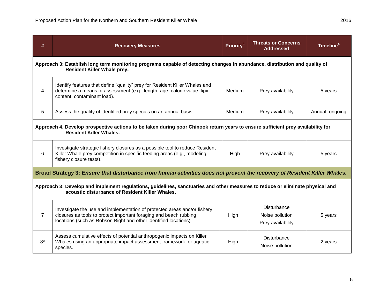| #                                                                                                                                                                 | <b>Recovery Measures</b>                                                                                                                                                                                          | Priority <sup>3</sup> | <b>Threats or Concerns</b><br><b>Addressed</b>             | Timeline <sup>4</sup> |  |  |
|-------------------------------------------------------------------------------------------------------------------------------------------------------------------|-------------------------------------------------------------------------------------------------------------------------------------------------------------------------------------------------------------------|-----------------------|------------------------------------------------------------|-----------------------|--|--|
| Approach 3: Establish long term monitoring programs capable of detecting changes in abundance, distribution and quality of<br>Resident Killer Whale prey.         |                                                                                                                                                                                                                   |                       |                                                            |                       |  |  |
| $\overline{4}$                                                                                                                                                    | Identify features that define "quality" prey for Resident Killer Whales and<br>determine a means of assessment (e.g., length, age, caloric value, lipid<br>content, contaminant load).                            | Medium                | Prey availability                                          | 5 years               |  |  |
| 5                                                                                                                                                                 | Assess the quality of identified prey species on an annual basis.                                                                                                                                                 | Medium                | Prey availability                                          | Annual; ongoing       |  |  |
| Approach 4. Develop prospective actions to be taken during poor Chinook return years to ensure sufficient prey availability for<br><b>Resident Killer Whales.</b> |                                                                                                                                                                                                                   |                       |                                                            |                       |  |  |
| 6                                                                                                                                                                 | Investigate strategic fishery closures as a possible tool to reduce Resident<br>Killer Whale prey competition in specific feeding areas (e.g., modeling,<br>fishery closure tests).                               | High                  | Prey availability                                          | 5 years               |  |  |
|                                                                                                                                                                   | Broad Strategy 3: Ensure that disturbance from human activities does not prevent the recovery of Resident Killer Whales.                                                                                          |                       |                                                            |                       |  |  |
|                                                                                                                                                                   | Approach 3: Develop and implement regulations, guidelines, sanctuaries and other measures to reduce or eliminate physical and<br>acoustic disturbance of Resident Killer Whales.                                  |                       |                                                            |                       |  |  |
| $\overline{7}$                                                                                                                                                    | Investigate the use and implementation of protected areas and/or fishery<br>closures as tools to protect important foraging and beach rubbing<br>locations (such as Robson Bight and other identified locations). | High                  | <b>Disturbance</b><br>Noise pollution<br>Prey availability | 5 years               |  |  |
| $8*$                                                                                                                                                              | Assess cumulative effects of potential anthropogenic impacts on Killer<br>Whales using an appropriate impact assessment framework for aquatic<br>species.                                                         | High                  | <b>Disturbance</b><br>Noise pollution                      | 2 years               |  |  |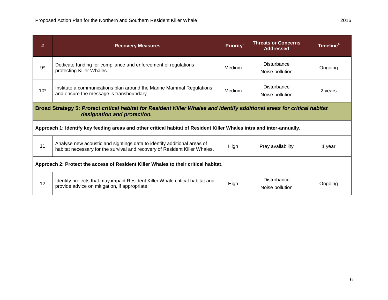| #                                                                                                                                                       | <b>Recovery Measures</b>                                                                                                                              | Priority <sup>31</sup> | <b>Threats or Concerns</b><br><b>Addressed</b> | Timeline <sup>4</sup> |  |  |
|---------------------------------------------------------------------------------------------------------------------------------------------------------|-------------------------------------------------------------------------------------------------------------------------------------------------------|------------------------|------------------------------------------------|-----------------------|--|--|
| $9*$                                                                                                                                                    | Dedicate funding for compliance and enforcement of regulations<br>protecting Killer Whales.                                                           | Medium                 | Disturbance<br>Noise pollution                 | Ongoing               |  |  |
| $10*$                                                                                                                                                   | Institute a communications plan around the Marine Mammal Regulations<br>and ensure the message is transboundary.                                      | Medium                 | Disturbance<br>Noise pollution                 | 2 years               |  |  |
| Broad Strategy 5: Protect critical habitat for Resident Killer Whales and identify additional areas for critical habitat<br>designation and protection. |                                                                                                                                                       |                        |                                                |                       |  |  |
|                                                                                                                                                         | Approach 1: Identify key feeding areas and other critical habitat of Resident Killer Whales intra and inter-annually.                                 |                        |                                                |                       |  |  |
| 11                                                                                                                                                      | Analyse new acoustic and sightings data to identify additional areas of<br>habitat necessary for the survival and recovery of Resident Killer Whales. | High                   | Prey availability                              | 1 year                |  |  |
| Approach 2: Protect the access of Resident Killer Whales to their critical habitat.                                                                     |                                                                                                                                                       |                        |                                                |                       |  |  |
| 12                                                                                                                                                      | Identify projects that may impact Resident Killer Whale critical habitat and<br>provide advice on mitigation, if appropriate.                         | High                   | Disturbance<br>Noise pollution                 | Ongoing               |  |  |

<u> 1989 - Johann Stoff, Amerikaansk politiker (\* 1908)</u>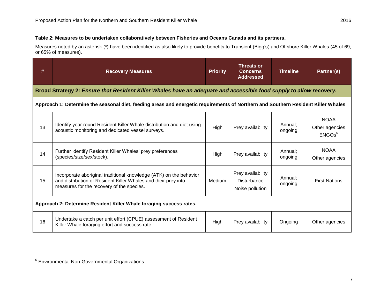#### **Table 2: Measures to be undertaken collaboratively between Fisheries and Oceans Canada and its partners.**

Measures noted by an asterisk (\*) have been identified as also likely to provide benefits to Transient (Bigg's) and Offshore Killer Whales (45 of 69, or 65% of measures).

| #                                                                   | <b>Recovery Measures</b>                                                                                                                                                          | <b>Priority</b> | <b>Threats or</b><br><b>Concerns</b><br><b>Addressed</b>   | <b>Timeline</b>    | Partner(s)                                          |
|---------------------------------------------------------------------|-----------------------------------------------------------------------------------------------------------------------------------------------------------------------------------|-----------------|------------------------------------------------------------|--------------------|-----------------------------------------------------|
|                                                                     | Broad Strategy 2: Ensure that Resident Killer Whales have an adequate and accessible food supply to allow recovery.                                                               |                 |                                                            |                    |                                                     |
|                                                                     | Approach 1: Determine the seasonal diet, feeding areas and energetic requirements of Northern and Southern Resident Killer Whales                                                 |                 |                                                            |                    |                                                     |
| 13                                                                  | Identify year round Resident Killer Whale distribution and diet using<br>acoustic monitoring and dedicated vessel surveys.                                                        | High            | Prey availability                                          | Annual;<br>ongoing | <b>NOAA</b><br>Other agencies<br>ENGOS <sup>5</sup> |
| 14                                                                  | Further identify Resident Killer Whales' prey preferences<br>(species/size/sex/stock).                                                                                            | High            | Prey availability                                          | Annual;<br>ongoing | <b>NOAA</b><br>Other agencies                       |
| 15                                                                  | Incorporate aboriginal traditional knowledge (ATK) on the behavior<br>and distribution of Resident Killer Whales and their prey into<br>measures for the recovery of the species. | <b>Medium</b>   | Prey availability<br><b>Disturbance</b><br>Noise pollution | Annual;<br>ongoing | <b>First Nations</b>                                |
| Approach 2: Determine Resident Killer Whale foraging success rates. |                                                                                                                                                                                   |                 |                                                            |                    |                                                     |
| 16                                                                  | Undertake a catch per unit effort (CPUE) assessment of Resident<br>Killer Whale foraging effort and success rate.                                                                 | High            | Prey availability                                          | Ongoing            | Other agencies                                      |

 5 Environmental Non-Governmental Organizations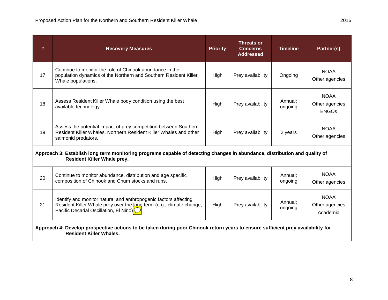| #                                                                                                                                                                 | <b>Recovery Measures</b>                                                                                                                                                            | <b>Priority</b> | <b>Threats or</b><br><b>Concerns</b><br><b>Addressed</b> | <b>Timeline</b>    | Partner(s)                                    |
|-------------------------------------------------------------------------------------------------------------------------------------------------------------------|-------------------------------------------------------------------------------------------------------------------------------------------------------------------------------------|-----------------|----------------------------------------------------------|--------------------|-----------------------------------------------|
| 17                                                                                                                                                                | Continue to monitor the role of Chinook abundance in the<br>population dynamics of the Northern and Southern Resident Killer<br>Whale populations.                                  | High            | Prey availability                                        | Ongoing            | <b>NOAA</b><br>Other agencies                 |
| 18                                                                                                                                                                | Assess Resident Killer Whale body condition using the best<br>available technology.                                                                                                 | High            | Prey availability                                        | Annual;<br>ongoing | <b>NOAA</b><br>Other agencies<br><b>ENGOs</b> |
| 19                                                                                                                                                                | Assess the potential impact of prey competition between Southern<br>Resident Killer Whales, Northern Resident Killer Whales and other<br>salmonid predators.                        | High            | Prey availability                                        | 2 years            | <b>NOAA</b><br>Other agencies                 |
| Approach 3: Establish long term monitoring programs capable of detecting changes in abundance, distribution and quality of<br><b>Resident Killer Whale prey.</b>  |                                                                                                                                                                                     |                 |                                                          |                    |                                               |
| 20                                                                                                                                                                | Continue to monitor abundance, distribution and age specific<br>composition of Chinook and Chum stocks and runs.                                                                    | High            | Prey availability                                        | Annual:<br>ongoing | <b>NOAA</b><br>Other agencies                 |
| 21                                                                                                                                                                | Identify and monitor natural and anthropogenic factors affecting<br>Resident Killer Whale prey over the long term (e.g., climate change,<br>Pacific Decadal Oscillation, El Niño) 2 | High            | Prey availability                                        | Annual:<br>ongoing | <b>NOAA</b><br>Other agencies<br>Academia     |
| Approach 4: Develop prospective actions to be taken during poor Chinook return years to ensure sufficient prey availability for<br><b>Resident Killer Whales.</b> |                                                                                                                                                                                     |                 |                                                          |                    |                                               |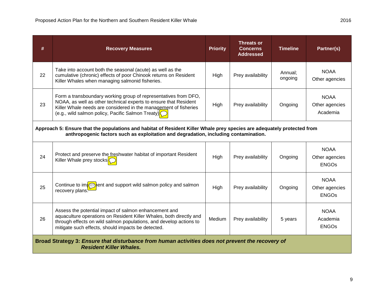| #                                                                                                                                                                                                               | <b>Recovery Measures</b>                                                                                                                                                                                                                                                | <b>Priority</b> | <b>Threats or</b><br><b>Concerns</b><br><b>Addressed</b> | <b>Timeline</b>    | Partner(s)                                    |  |
|-----------------------------------------------------------------------------------------------------------------------------------------------------------------------------------------------------------------|-------------------------------------------------------------------------------------------------------------------------------------------------------------------------------------------------------------------------------------------------------------------------|-----------------|----------------------------------------------------------|--------------------|-----------------------------------------------|--|
| 22                                                                                                                                                                                                              | Take into account both the seasonal (acute) as well as the<br>cumulative (chronic) effects of poor Chinook returns on Resident<br>Killer Whales when managing salmonid fisheries.                                                                                       | High            | Prey availability                                        | Annual;<br>ongoing | <b>NOAA</b><br>Other agencies                 |  |
| 23                                                                                                                                                                                                              | Form a transboundary working group of representatives from DFO,<br>NOAA, as well as other technical experts to ensure that Resident<br>Killer Whale needs are considered in the management of fisheries<br>(e.g., wild salmon policy, Pacific Salmon Treaty) $\bigcirc$ | <b>High</b>     | Prey availability                                        | Ongoing            | <b>NOAA</b><br>Other agencies<br>Academia     |  |
| Approach 5: Ensure that the populations and habitat of Resident Killer Whale prey species are adequately protected from<br>anthropogenic factors such as exploitation and degradation, including contamination. |                                                                                                                                                                                                                                                                         |                 |                                                          |                    |                                               |  |
| 24                                                                                                                                                                                                              | Protect and preserve the freshwater habitat of important Resident<br>Killer Whale prey stocks                                                                                                                                                                           | High            | Prey availability                                        | Ongoing            | <b>NOAA</b><br>Other agencies<br><b>ENGOS</b> |  |
| 25                                                                                                                                                                                                              | Continue to im <b>(e)</b> ent and support wild salmon policy and salmon<br>recovery plans.                                                                                                                                                                              | High            | Prey availability                                        | Ongoing            | <b>NOAA</b><br>Other agencies<br><b>ENGOs</b> |  |
| 26                                                                                                                                                                                                              | Assess the potential impact of salmon enhancement and<br>aquaculture operations on Resident Killer Whales, both directly and<br>through effects on wild salmon populations, and develop actions to<br>mitigate such effects, should impacts be detected.                | Medium          | Prey availability                                        | 5 years            | <b>NOAA</b><br>Academia<br><b>ENGOs</b>       |  |
|                                                                                                                                                                                                                 | Broad Strategy 3: Ensure that disturbance from human activities does not prevent the recovery of<br><b>Resident Killer Whales.</b>                                                                                                                                      |                 |                                                          |                    |                                               |  |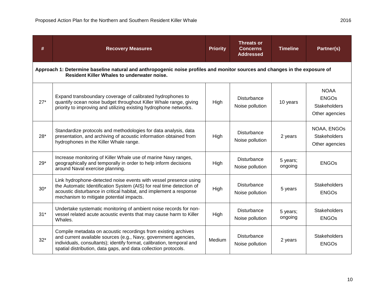| #     | <b>Recovery Measures</b>                                                                                                                                                                                                                                                      | <b>Priority</b> | <b>Threats or</b><br><b>Concerns</b><br><b>Addressed</b> | <b>Timeline</b>     | Partner(s)                                                           |
|-------|-------------------------------------------------------------------------------------------------------------------------------------------------------------------------------------------------------------------------------------------------------------------------------|-----------------|----------------------------------------------------------|---------------------|----------------------------------------------------------------------|
|       | Approach 1: Determine baseline natural and anthropogenic noise profiles and monitor sources and changes in the exposure of<br><b>Resident Killer Whales to underwater noise.</b>                                                                                              |                 |                                                          |                     |                                                                      |
| $27*$ | Expand transboundary coverage of calibrated hydrophones to<br>quantify ocean noise budget throughout Killer Whale range, giving<br>priority to improving and utilizing existing hydrophone networks.                                                                          | High            | <b>Disturbance</b><br>Noise pollution                    | 10 years            | <b>NOAA</b><br><b>ENGOS</b><br><b>Stakeholders</b><br>Other agencies |
| $28*$ | Standardize protocols and methodologies for data analysis, data<br>presentation, and archiving of acoustic information obtained from<br>hydrophones in the Killer Whale range.                                                                                                | High            | <b>Disturbance</b><br>Noise pollution                    | 2 years             | NOAA, ENGOS<br><b>Stakeholders</b><br>Other agencies                 |
| $29*$ | Increase monitoring of Killer Whale use of marine Navy ranges,<br>geographically and temporally in order to help inform decisions<br>around Naval exercise planning.                                                                                                          | High            | <b>Disturbance</b><br>Noise pollution                    | 5 years;<br>ongoing | <b>ENGOs</b>                                                         |
| $30*$ | Link hydrophone-detected noise events with vessel presence using<br>the Automatic Identification System (AIS) for real time detection of<br>acoustic disturbance in critical habitat, and implement a response<br>mechanism to mitigate potential impacts.                    | High            | Disturbance<br>Noise pollution                           | 5 years             | <b>Stakeholders</b><br><b>ENGOs</b>                                  |
| $31*$ | Undertake systematic monitoring of ambient noise records for non-<br>vessel related acute acoustic events that may cause harm to Killer<br>Whales.                                                                                                                            | High            | <b>Disturbance</b><br>Noise pollution                    | 5 years;<br>ongoing | <b>Stakeholders</b><br><b>ENGOs</b>                                  |
| $32*$ | Compile metadata on acoustic recordings from existing archives<br>and current available sources (e.g., Navy, government agencies,<br>individuals, consultants); identify format, calibration, temporal and<br>spatial distribution, data gaps, and data collection protocols. | Medium          | Disturbance<br>Noise pollution                           | 2 years             | <b>Stakeholders</b><br><b>ENGOs</b>                                  |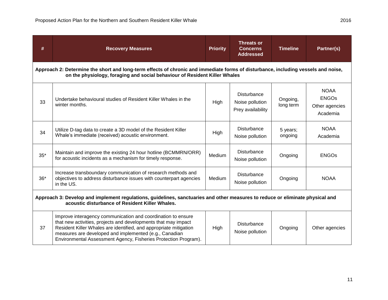| #                                                                                                                                                                                | <b>Recovery Measures</b>                                                                                                                                                                                                                                                                                                         | <b>Priority</b> | <b>Threats or</b><br><b>Concerns</b><br><b>Addressed</b>   | <b>Timeline</b>       | Partner(s)                                                |
|----------------------------------------------------------------------------------------------------------------------------------------------------------------------------------|----------------------------------------------------------------------------------------------------------------------------------------------------------------------------------------------------------------------------------------------------------------------------------------------------------------------------------|-----------------|------------------------------------------------------------|-----------------------|-----------------------------------------------------------|
|                                                                                                                                                                                  | Approach 2: Determine the short and long-term effects of chronic and immediate forms of disturbance, including vessels and noise,<br>on the physiology, foraging and social behaviour of Resident Killer Whales                                                                                                                  |                 |                                                            |                       |                                                           |
| 33                                                                                                                                                                               | Undertake behavioural studies of Resident Killer Whales in the<br>winter months.                                                                                                                                                                                                                                                 | High            | <b>Disturbance</b><br>Noise pollution<br>Prey availability | Ongoing,<br>long term | <b>NOAA</b><br><b>ENGOs</b><br>Other agencies<br>Academia |
| 34                                                                                                                                                                               | Utilize D-tag data to create a 3D model of the Resident Killer<br>Whale's immediate (received) acoustic environment.                                                                                                                                                                                                             | High            | Disturbance<br>Noise pollution                             | 5 years;<br>ongoing   | <b>NOAA</b><br>Academia                                   |
| $35*$                                                                                                                                                                            | Maintain and improve the existing 24 hour hotline (BCMMRN/ORR)<br>for acoustic incidents as a mechanism for timely response.                                                                                                                                                                                                     | Medium          | Disturbance<br>Noise pollution                             | Ongoing               | <b>ENGOs</b>                                              |
| $36*$                                                                                                                                                                            | Increase transboundary communication of research methods and<br>objectives to address disturbance issues with counterpart agencies<br>in the US.                                                                                                                                                                                 | Medium          | Disturbance<br>Noise pollution                             | Ongoing               | <b>NOAA</b>                                               |
| Approach 3: Develop and implement regulations, guidelines, sanctuaries and other measures to reduce or eliminate physical and<br>acoustic disturbance of Resident Killer Whales. |                                                                                                                                                                                                                                                                                                                                  |                 |                                                            |                       |                                                           |
| 37                                                                                                                                                                               | Improve interagency communication and coordination to ensure<br>that new activities, projects and developments that may impact<br>Resident Killer Whales are identified, and appropriate mitigation<br>measures are developed and implemented (e.g., Canadian<br>Environmental Assessment Agency, Fisheries Protection Program). | High            | <b>Disturbance</b><br>Noise pollution                      | Ongoing               | Other agencies                                            |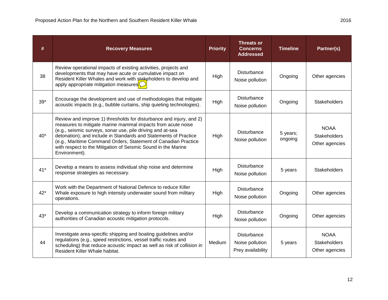| #     | <b>Recovery Measures</b>                                                                                                                                                                                                                                                                                                                                                                                                 | <b>Priority</b> | <b>Threats or</b><br><b>Concerns</b><br><b>Addressed</b>   | <b>Timeline</b>     | Partner(s)                                           |
|-------|--------------------------------------------------------------------------------------------------------------------------------------------------------------------------------------------------------------------------------------------------------------------------------------------------------------------------------------------------------------------------------------------------------------------------|-----------------|------------------------------------------------------------|---------------------|------------------------------------------------------|
| 38    | Review operational impacts of existing activities, projects and<br>developments that may have acute or cumulative impact on<br>Resident Killer Whales and work with stakeholders to develop and<br>apply appropriate mitigation measures                                                                                                                                                                                 | High            | <b>Disturbance</b><br>Noise pollution                      | Ongoing             | Other agencies                                       |
| $39*$ | Encourage the development and use of methodologies that mitigate<br>acoustic impacts (e.g., bubble curtains, ship quieting technologies).                                                                                                                                                                                                                                                                                | <b>High</b>     | <b>Disturbance</b><br>Noise pollution                      | Ongoing             | <b>Stakeholders</b>                                  |
| $40*$ | Review and improve 1) thresholds for disturbance and injury, and 2)<br>measures to mitigate marine mammal impacts from acute noise<br>(e.g., seismic surveys, sonar use, pile driving and at-sea<br>detonation); and include in Standards and Statements of Practice<br>(e.g., Maritime Command Orders, Statement of Canadian Practice<br>with respect to the Mitigation of Seismic Sound in the Marine<br>Environment). | High            | <b>Disturbance</b><br>Noise pollution                      | 5 years;<br>ongoing | <b>NOAA</b><br><b>Stakeholders</b><br>Other agencies |
| $41*$ | Develop a means to assess individual ship noise and determine<br>response strategies as necessary.                                                                                                                                                                                                                                                                                                                       | High            | <b>Disturbance</b><br>Noise pollution                      | 5 years             | <b>Stakeholders</b>                                  |
| $42*$ | Work with the Department of National Defence to reduce Killer<br>Whale exposure to high intensity underwater sound from military<br>operations.                                                                                                                                                                                                                                                                          | High            | <b>Disturbance</b><br>Noise pollution                      | Ongoing             | Other agencies                                       |
| $43*$ | Develop a communication strategy to inform foreign military<br>authorities of Canadian acoustic mitigation protocols.                                                                                                                                                                                                                                                                                                    | High            | <b>Disturbance</b><br>Noise pollution                      | Ongoing             | Other agencies                                       |
| 44    | Investigate area-specific shipping and boating guidelines and/or<br>regulations (e.g., speed restrictions, vessel traffic routes and<br>scheduling) that reduce acoustic impact as well as risk of collision in<br>Resident Killer Whale habitat.                                                                                                                                                                        | Medium          | <b>Disturbance</b><br>Noise pollution<br>Prey availability | 5 years             | <b>NOAA</b><br><b>Stakeholders</b><br>Other agencies |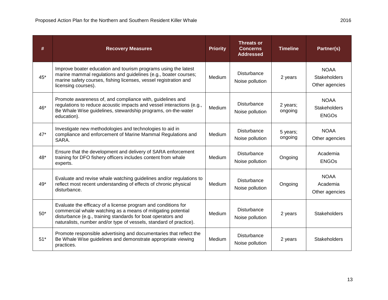| #     | <b>Recovery Measures</b>                                                                                                                                                                                                                                            | <b>Priority</b> | <b>Threats or</b><br><b>Concerns</b><br><b>Addressed</b> | <b>Timeline</b>     | Partner(s)                                           |
|-------|---------------------------------------------------------------------------------------------------------------------------------------------------------------------------------------------------------------------------------------------------------------------|-----------------|----------------------------------------------------------|---------------------|------------------------------------------------------|
| $45*$ | Improve boater education and tourism programs using the latest<br>marine mammal regulations and guidelines (e.g., boater courses;<br>marine safety courses, fishing licenses, vessel registration and<br>licensing courses).                                        | Medium          | <b>Disturbance</b><br>Noise pollution                    | 2 years             | <b>NOAA</b><br><b>Stakeholders</b><br>Other agencies |
| 46*   | Promote awareness of, and compliance with, guidelines and<br>regulations to reduce acoustic impacts and vessel interactions (e.g.,<br>Be Whale Wise guidelines, stewardship programs, on-the-water<br>education).                                                   | Medium          | <b>Disturbance</b><br>Noise pollution                    | 2 years;<br>ongoing | <b>NOAA</b><br><b>Stakeholders</b><br><b>ENGOs</b>   |
| $47*$ | Investigate new methodologies and technologies to aid in<br>compliance and enforcement of Marine Mammal Regulations and<br>SARA.                                                                                                                                    | Medium          | <b>Disturbance</b><br>Noise pollution                    | 5 years;<br>ongoing | <b>NOAA</b><br>Other agencies                        |
| 48*   | Ensure that the development and delivery of SARA enforcement<br>training for DFO fishery officers includes content from whale<br>experts.                                                                                                                           | Medium          | <b>Disturbance</b><br>Noise pollution                    | Ongoing             | Academia<br><b>ENGOs</b>                             |
| $49*$ | Evaluate and revise whale watching guidelines and/or regulations to<br>reflect most recent understanding of effects of chronic physical<br>disturbance.                                                                                                             | Medium          | <b>Disturbance</b><br>Noise pollution                    | Ongoing             | <b>NOAA</b><br>Academia<br>Other agencies            |
| $50*$ | Evaluate the efficacy of a license program and conditions for<br>commercial whale watching as a means of mitigating potential<br>disturbance (e.g., training standards for boat operators and<br>naturalists, number and/or type of vessels, standard of practice). | Medium          | Disturbance<br>Noise pollution                           | 2 years             | <b>Stakeholders</b>                                  |
| $51*$ | Promote responsible advertising and documentaries that reflect the<br>Be Whale Wise guidelines and demonstrate appropriate viewing<br>practices.                                                                                                                    | Medium          | <b>Disturbance</b><br>Noise pollution                    | 2 years             | <b>Stakeholders</b>                                  |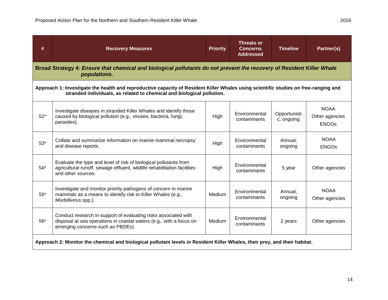| #     | <b>Recovery Measures</b>                                                                                                                                                                                      | <b>Priority</b> | <b>Threats or</b><br><b>Concerns</b><br><b>Addressed</b> | <b>Timeline</b>            | Partner(s)                                    |  |
|-------|---------------------------------------------------------------------------------------------------------------------------------------------------------------------------------------------------------------|-----------------|----------------------------------------------------------|----------------------------|-----------------------------------------------|--|
|       | Broad Strategy 4: Ensure that chemical and biological pollutants do not prevent the recovery of Resident Killer Whale<br>populations.                                                                         |                 |                                                          |                            |                                               |  |
|       | Approach 1: Investigate the health and reproductive capacity of Resident Killer Whales using scientific studies on free-ranging and<br>stranded individuals, as related to chemical and biological pollution. |                 |                                                          |                            |                                               |  |
| $52*$ | Investigate diseases in stranded Killer Whales and identify those<br>caused by biological pollution (e.g., viruses, bacteria, fungi,<br>parasites).                                                           | High            | Environmental<br>contaminants                            | Opportunisti<br>c; ongoing | <b>NOAA</b><br>Other agencies<br><b>ENGOs</b> |  |
| $53*$ | Collate and summarize information on marine mammal necropsy<br>and disease reports.                                                                                                                           | High            | Environmental<br>contaminants                            | Annual;<br>ongoing         | <b>NOAA</b><br><b>ENGOs</b>                   |  |
| $54*$ | Evaluate the type and level of risk of biological pollutants from<br>agricultural runoff, sewage effluent, wildlife rehabilitation facilities<br>and other sources.                                           | High            | Environmental<br>contaminants                            | 5 year                     | Other agencies                                |  |
| $55*$ | Investigate and monitor priority pathogens of concern in marine<br>mammals as a means to identify risk to Killer Whales (e.g.,<br>Morbillivirus spp.).                                                        | Medium          | Environmental<br>contaminants                            | Annual;<br>ongoing         | <b>NOAA</b><br>Other agencies                 |  |
| $56*$ | Conduct research in support of evaluating risks associated with<br>disposal at sea operations in coastal waters (e.g., with a focus on<br>emerging concerns such as PBDEs).                                   | Medium          | Environmental<br>contaminants                            | 2 years                    | Other agencies                                |  |
|       | Approach 2: Monitor the chemical and biological pollutant levels in Resident Killer Whales, their prey, and their habitat.                                                                                    |                 |                                                          |                            |                                               |  |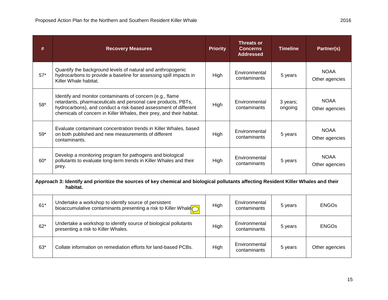| #                                                                                                                                                | <b>Recovery Measures</b>                                                                                                                                                                                                                                               | <b>Priority</b> | <b>Threats or</b><br><b>Concerns</b><br><b>Addressed</b> | <b>Timeline</b>     | Partner(s)                    |
|--------------------------------------------------------------------------------------------------------------------------------------------------|------------------------------------------------------------------------------------------------------------------------------------------------------------------------------------------------------------------------------------------------------------------------|-----------------|----------------------------------------------------------|---------------------|-------------------------------|
| $57*$                                                                                                                                            | Quantify the background levels of natural and anthropogenic<br>hydrocarbons to provide a baseline for assessing spill impacts in<br>Killer Whale habitat.                                                                                                              | High            | Environmental<br>contaminants                            | 5 years             | <b>NOAA</b><br>Other agencies |
| $58*$                                                                                                                                            | Identify and monitor contaminants of concern (e.g., flame<br>retardants, pharmaceuticals and personal care products, PBTs,<br>hydrocarbons), and conduct a risk-based assessment of different<br>chemicals of concern in Killer Whales, their prey, and their habitat. | High            | Environmental<br>contaminants                            | 3 years;<br>ongoing | <b>NOAA</b><br>Other agencies |
| $59*$                                                                                                                                            | Evaluate contaminant concentration trends in Killer Whales, based<br>on both published and new measurements of different<br>contaminants.                                                                                                                              | High            | Environmental<br>contaminants                            | 5 years             | <b>NOAA</b><br>Other agencies |
| $60*$                                                                                                                                            | Develop a monitoring program for pathogens and biological<br>pollutants to evaluate long-term trends in Killer Whales and their<br>prey.                                                                                                                               | High            | Environmental<br>contaminants                            | 5 years             | <b>NOAA</b><br>Other agencies |
| Approach 3: Identify and prioritize the sources of key chemical and biological pollutants affecting Resident Killer Whales and their<br>habitat. |                                                                                                                                                                                                                                                                        |                 |                                                          |                     |                               |
| $61*$                                                                                                                                            | Undertake a workshop to identify source of persistent<br>bioaccumulative contaminants presenting a risk to Killer Whale                                                                                                                                                | High            | Environmental<br>contaminants                            | 5 years             | <b>ENGOS</b>                  |
| $62*$                                                                                                                                            | Undertake a workshop to identify source of biological pollutants<br>presenting a risk to Killer Whales.                                                                                                                                                                | High            | Environmental<br>contaminants                            | 5 years             | <b>ENGOS</b>                  |
| $63*$                                                                                                                                            | Collate information on remediation efforts for land-based PCBs.                                                                                                                                                                                                        | High            | Environmental<br>contaminants                            | 5 years             | Other agencies                |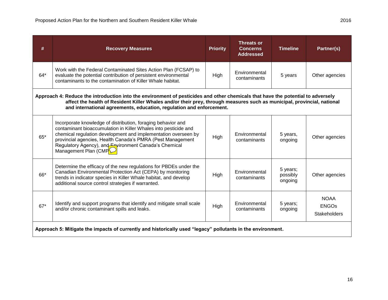| #                                                                                                                                                                                                                                                                                                                                  | <b>Recovery Measures</b>                                                                                                                                                                                                                                                                                                                          | <b>Priority</b> | <b>Threats or</b><br><b>Concerns</b><br><b>Addressed</b> | <b>Timeline</b>                 | Partner(s)                                         |
|------------------------------------------------------------------------------------------------------------------------------------------------------------------------------------------------------------------------------------------------------------------------------------------------------------------------------------|---------------------------------------------------------------------------------------------------------------------------------------------------------------------------------------------------------------------------------------------------------------------------------------------------------------------------------------------------|-----------------|----------------------------------------------------------|---------------------------------|----------------------------------------------------|
| $64*$                                                                                                                                                                                                                                                                                                                              | Work with the Federal Contaminated Sites Action Plan (FCSAP) to<br>evaluate the potential contribution of persistent environmental<br>contaminants to the contamination of Killer Whale habitat.                                                                                                                                                  | High            | Environmental<br>contaminants                            | 5 years                         | Other agencies                                     |
| Approach 4: Reduce the introduction into the environment of pesticides and other chemicals that have the potential to adversely<br>affect the health of Resident Killer Whales and/or their prey, through measures such as municipal, provincial, national<br>and international agreements, education, regulation and enforcement. |                                                                                                                                                                                                                                                                                                                                                   |                 |                                                          |                                 |                                                    |
| $65*$                                                                                                                                                                                                                                                                                                                              | Incorporate knowledge of distribution, foraging behavior and<br>contaminant bioaccumulation in Killer Whales into pesticide and<br>chemical regulation development and implementation overseen by<br>provincial agencies, Health Canada's PMRA (Pest Management<br>Regulatory Agency), and Environment Canada's Chemical<br>Management Plan (CMPL | High            | Environmental<br>contaminants                            | 5 years,<br>ongoing             | Other agencies                                     |
| 66*                                                                                                                                                                                                                                                                                                                                | Determine the efficacy of the new regulations for PBDEs under the<br>Canadian Environmental Protection Act (CEPA) by monitoring<br>trends in indicator species in Killer Whale habitat, and develop<br>additional source control strategies if warranted.                                                                                         | High            | Environmental<br>contaminants                            | 5 years;<br>possibly<br>ongoing | Other agencies                                     |
| $67*$                                                                                                                                                                                                                                                                                                                              | Identify and support programs that identify and mitigate small scale<br>and/or chronic contaminant spills and leaks.                                                                                                                                                                                                                              | High            | Environmental<br>contaminants                            | 5 years;<br>ongoing             | <b>NOAA</b><br><b>ENGOs</b><br><b>Stakeholders</b> |
| Approach 5: Mitigate the impacts of currently and historically used "legacy" pollutants in the environment.                                                                                                                                                                                                                        |                                                                                                                                                                                                                                                                                                                                                   |                 |                                                          |                                 |                                                    |

<u> 1989 - Johann Stoff, amerikansk politiker (d. 1989)</u>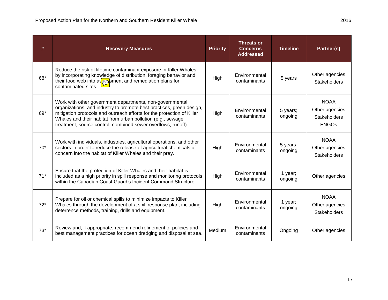| #     | <b>Recovery Measures</b>                                                                                                                                                                                                                                                                                                                   | <b>Priority</b> | <b>Threats or</b><br><b>Concerns</b><br><b>Addressed</b> | <b>Timeline</b>     | Partner(s)                                                           |
|-------|--------------------------------------------------------------------------------------------------------------------------------------------------------------------------------------------------------------------------------------------------------------------------------------------------------------------------------------------|-----------------|----------------------------------------------------------|---------------------|----------------------------------------------------------------------|
| 68*   | Reduce the risk of lifetime contaminant exposure in Killer Whales<br>by incorporating knowledge of distribution, foraging behavior and<br>their food web into $a\sqrt{\epsilon}$ sment and remediation plans for<br>contaminated sites.                                                                                                    | High            | Environmental<br>contaminants                            | 5 years             | Other agencies<br><b>Stakeholders</b>                                |
| 69*   | Work with other government departments, non-governmental<br>organizations, and industry to promote best practices, green design,<br>mitigation protocols and outreach efforts for the protection of Killer<br>Whales and their habitat from urban pollution (e.g., sewage<br>treatment, source control, combined sewer overflows, runoff). | High            | Environmental<br>contaminants                            | 5 years;<br>ongoing | <b>NOAA</b><br>Other agencies<br><b>Stakeholders</b><br><b>ENGOs</b> |
| $70*$ | Work with individuals, industries, agricultural operations, and other<br>sectors in order to reduce the release of agricultural chemicals of<br>concern into the habitat of Killer Whales and their prey.                                                                                                                                  | High            | Environmental<br>contaminants                            | 5 years;<br>ongoing | <b>NOAA</b><br>Other agencies<br><b>Stakeholders</b>                 |
| $71*$ | Ensure that the protection of Killer Whales and their habitat is<br>included as a high priority in spill response and monitoring protocols<br>within the Canadian Coast Guard's Incident Command Structure.                                                                                                                                | High            | Environmental<br>contaminants                            | 1 year;<br>ongoing  | Other agencies                                                       |
| $72*$ | Prepare for oil or chemical spills to minimize impacts to Killer<br>Whales through the development of a spill response plan, including<br>deterrence methods, training, drills and equipment.                                                                                                                                              | High            | Environmental<br>contaminants                            | 1 year;<br>ongoing  | <b>NOAA</b><br>Other agencies<br><b>Stakeholders</b>                 |
| $73*$ | Review and, if appropriate, recommend refinement of policies and<br>best management practices for ocean dredging and disposal at sea.                                                                                                                                                                                                      | Medium          | Environmental<br>contaminants                            | Ongoing             | Other agencies                                                       |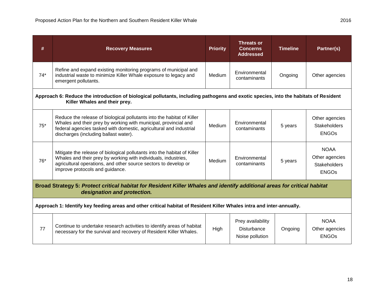| #                                                                                                                                                                    | <b>Recovery Measures</b>                                                                                                                                                                                                                                 | <b>Priority</b> | Threats or<br><b>Concerns</b><br><b>Addressed</b>          | <b>Timeline</b> | Partner(s)                                                           |
|----------------------------------------------------------------------------------------------------------------------------------------------------------------------|----------------------------------------------------------------------------------------------------------------------------------------------------------------------------------------------------------------------------------------------------------|-----------------|------------------------------------------------------------|-----------------|----------------------------------------------------------------------|
| $74*$                                                                                                                                                                | Refine and expand existing monitoring programs of municipal and<br>industrial waste to minimize Killer Whale exposure to legacy and<br>emergent pollutants.                                                                                              | Medium          | Environmental<br>contaminants                              | Ongoing         | Other agencies                                                       |
| Approach 6: Reduce the introduction of biological pollutants, including pathogens and exotic species, into the habitats of Resident<br>Killer Whales and their prey. |                                                                                                                                                                                                                                                          |                 |                                                            |                 |                                                                      |
| $75*$                                                                                                                                                                | Reduce the release of biological pollutants into the habitat of Killer<br>Whales and their prey by working with municipal, provincial and<br>federal agencies tasked with domestic, agricultural and industrial<br>discharges (including ballast water). | Medium          | Environmental<br>contaminants                              | 5 years         | Other agencies<br><b>Stakeholders</b><br><b>ENGOs</b>                |
| 76*                                                                                                                                                                  | Mitigate the release of biological pollutants into the habitat of Killer<br>Whales and their prey by working with individuals, industries,<br>agricultural operations, and other source sectors to develop or<br>improve protocols and guidance.         | Medium          | Environmental<br>contaminants                              | 5 years         | <b>NOAA</b><br>Other agencies<br><b>Stakeholders</b><br><b>ENGOs</b> |
| Broad Strategy 5: Protect critical habitat for Resident Killer Whales and identify additional areas for critical habitat<br>designation and protection.              |                                                                                                                                                                                                                                                          |                 |                                                            |                 |                                                                      |
|                                                                                                                                                                      | Approach 1: Identify key feeding areas and other critical habitat of Resident Killer Whales intra and inter-annually.                                                                                                                                    |                 |                                                            |                 |                                                                      |
| 77                                                                                                                                                                   | Continue to undertake research activities to identify areas of habitat<br>necessary for the survival and recovery of Resident Killer Whales.                                                                                                             | High            | Prey availability<br><b>Disturbance</b><br>Noise pollution | Ongoing         | <b>NOAA</b><br>Other agencies<br><b>ENGOs</b>                        |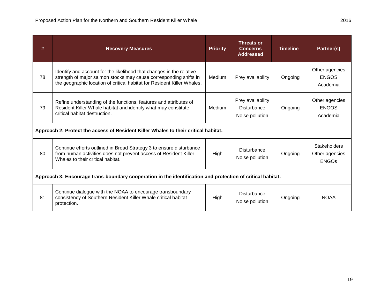| #  | <b>Recovery Measures</b>                                                                                                                                                                                             | <b>Priority</b> | <b>Threats or</b><br><b>Concerns</b><br><b>Addressed</b> | <b>Timeline</b> | Partner(s)                                            |
|----|----------------------------------------------------------------------------------------------------------------------------------------------------------------------------------------------------------------------|-----------------|----------------------------------------------------------|-----------------|-------------------------------------------------------|
| 78 | Identify and account for the likelihood that changes in the relative<br>strength of major salmon stocks may cause corresponding shifts in<br>the geographic location of critical habitat for Resident Killer Whales. | <b>Medium</b>   | Prey availability                                        | Ongoing         | Other agencies<br><b>ENGOS</b><br>Academia            |
| 79 | Refine understanding of the functions, features and attributes of<br>Resident Killer Whale habitat and identify what may constitute<br>critical habitat destruction.                                                 | Medium          | Prey availability<br>Disturbance<br>Noise pollution      | Ongoing         | Other agencies<br><b>ENGOS</b><br>Academia            |
|    | Approach 2: Protect the access of Resident Killer Whales to their critical habitat.                                                                                                                                  |                 |                                                          |                 |                                                       |
| 80 | Continue efforts outlined in Broad Strategy 3 to ensure disturbance<br>from human activities does not prevent access of Resident Killer<br>Whales to their critical habitat.                                         | High            | <b>Disturbance</b><br>Noise pollution                    | Ongoing         | <b>Stakeholders</b><br>Other agencies<br><b>ENGOS</b> |
|    | Approach 3: Encourage trans-boundary cooperation in the identification and protection of critical habitat.                                                                                                           |                 |                                                          |                 |                                                       |
| 81 | Continue dialogue with the NOAA to encourage transboundary<br>consistency of Southern Resident Killer Whale critical habitat<br>protection.                                                                          | High            | Disturbance<br>Noise pollution                           | Ongoing         | <b>NOAA</b>                                           |

<u> 1989 - Andrea Santa Andrea Santa Andrea Santa Andrea Santa Andrea Santa Andrea Santa Andrea Santa Andrea San</u>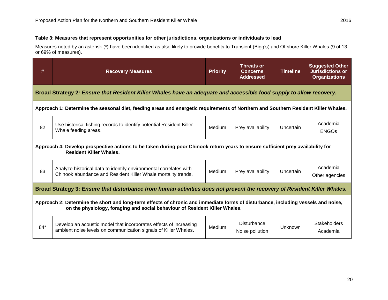#### **Table 3: Measures that represent opportunities for other jurisdictions, organizations or individuals to lead**

Measures noted by an asterisk (\*) have been identified as also likely to provide benefits to Transient (Bigg's) and Offshore Killer Whales (9 of 13, or 69% of measures).

| #                                                                                                                                                                                                                | <b>Recovery Measures</b>                                                                                                             | <b>Priority</b> | <b>Threats or</b><br><b>Concerns</b><br><b>Addressed</b> | <b>Timeline</b> | <b>Suggested Other</b><br><b>Jurisdictions or</b><br><b>Organizations</b> |
|------------------------------------------------------------------------------------------------------------------------------------------------------------------------------------------------------------------|--------------------------------------------------------------------------------------------------------------------------------------|-----------------|----------------------------------------------------------|-----------------|---------------------------------------------------------------------------|
|                                                                                                                                                                                                                  | Broad Strategy 2: Ensure that Resident Killer Whales have an adequate and accessible food supply to allow recovery.                  |                 |                                                          |                 |                                                                           |
|                                                                                                                                                                                                                  | Approach 1: Determine the seasonal diet, feeding areas and energetic requirements of Northern and Southern Resident Killer Whales.   |                 |                                                          |                 |                                                                           |
| 82                                                                                                                                                                                                               | Use historical fishing records to identify potential Resident Killer<br>Whale feeding areas.                                         | Medium          | Prey availability                                        | Uncertain       | Academia<br><b>ENGOS</b>                                                  |
| Approach 4: Develop prospective actions to be taken during poor Chinook return years to ensure sufficient prey availability for<br><b>Resident Killer Whales.</b>                                                |                                                                                                                                      |                 |                                                          |                 |                                                                           |
| 83                                                                                                                                                                                                               | Analyze historical data to identify environmental correlates with<br>Chinook abundance and Resident Killer Whale mortality trends.   | <b>Medium</b>   | Prey availability                                        | Uncertain       | Academia<br>Other agencies                                                |
|                                                                                                                                                                                                                  | Broad Strategy 3: Ensure that disturbance from human activities does not prevent the recovery of Resident Killer Whales.             |                 |                                                          |                 |                                                                           |
| Approach 2: Determine the short and long-term effects of chronic and immediate forms of disturbance, including vessels and noise,<br>on the physiology, foraging and social behaviour of Resident Killer Whales. |                                                                                                                                      |                 |                                                          |                 |                                                                           |
| $84*$                                                                                                                                                                                                            | Develop an acoustic model that incorporates effects of increasing<br>ambient noise levels on communication signals of Killer Whales. | <b>Medium</b>   | Disturbance<br>Noise pollution                           | Unknown         | <b>Stakeholders</b><br>Academia                                           |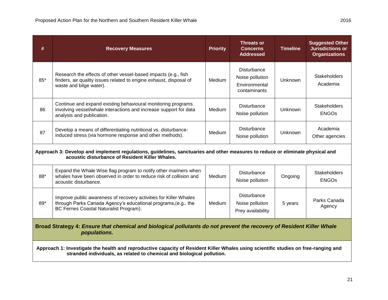| #                                                                                                                                                                                | <b>Recovery Measures</b>                                                                                                                                                                                      | <b>Priority</b> | <b>Threats or</b><br><b>Concerns</b><br><b>Addressed</b>        | <b>Timeline</b> | <b>Suggested Other</b><br><b>Jurisdictions or</b><br><b>Organizations</b> |
|----------------------------------------------------------------------------------------------------------------------------------------------------------------------------------|---------------------------------------------------------------------------------------------------------------------------------------------------------------------------------------------------------------|-----------------|-----------------------------------------------------------------|-----------------|---------------------------------------------------------------------------|
| $85*$                                                                                                                                                                            | Research the effects of other vessel-based impacts (e.g., fish<br>finders, air quality issues related to engine exhaust, disposal of<br>waste and bilge water).                                               | Medium          | Disturbance<br>Noise pollution<br>Environmental<br>contaminants | Unknown         | Stakeholders<br>Academia                                                  |
| 86                                                                                                                                                                               | Continue and expand existing behavioural monitoring programs<br>involving vessel/whale interactions and increase support for data<br>analysis and publication.                                                | Medium          | Disturbance<br>Noise pollution                                  | Unknown         | <b>Stakeholders</b><br><b>ENGOs</b>                                       |
| 87                                                                                                                                                                               | Develop a means of differentiating nutritional vs. disturbance-<br>induced stress (via hormone response and other methods).                                                                                   | Medium          | <b>Disturbance</b><br>Noise pollution                           | Unknown         | Academia<br>Other agencies                                                |
| Approach 3: Develop and implement regulations, guidelines, sanctuaries and other measures to reduce or eliminate physical and<br>acoustic disturbance of Resident Killer Whales. |                                                                                                                                                                                                               |                 |                                                                 |                 |                                                                           |
| 88*                                                                                                                                                                              | Expand the Whale Wise flag program to notify other mariners when<br>whales have been observed in order to reduce risk of collision and<br>acoustic disturbance.                                               | Medium          | Disturbance<br>Noise pollution                                  | Ongoing         | <b>Stakeholders</b><br><b>ENGOS</b>                                       |
| 89*                                                                                                                                                                              | Improve public awareness of recovery activities for Killer Whales<br>through Parks Canada Agency's educational programs, (e.g., the<br>BC Ferries Coastal Naturalist Program).                                | Medium          | Disturbance<br>Noise pollution<br>Prey availability             | 5 years         | Parks Canada<br>Agency                                                    |
|                                                                                                                                                                                  | Broad Strategy 4: Ensure that chemical and biological pollutants do not prevent the recovery of Resident Killer Whale<br>populations.                                                                         |                 |                                                                 |                 |                                                                           |
|                                                                                                                                                                                  | Approach 1: Investigate the health and reproductive capacity of Resident Killer Whales using scientific studies on free-ranging and<br>stranded individuals, as related to chemical and biological pollution. |                 |                                                                 |                 |                                                                           |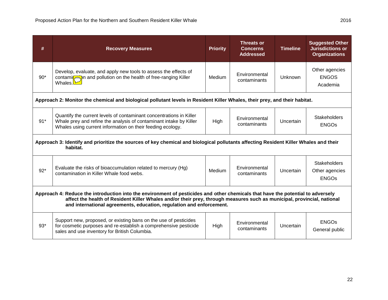| #                                                                                                                                                                                                                                                                                                                                  | <b>Recovery Measures</b>                                                                                                                                                                                | <b>Priority</b> | <b>Threats or</b><br><b>Concerns</b><br><b>Addressed</b> | <b>Timeline</b> | <b>Suggested Other</b><br><b>Jurisdictions or</b><br><b>Organizations</b> |
|------------------------------------------------------------------------------------------------------------------------------------------------------------------------------------------------------------------------------------------------------------------------------------------------------------------------------------|---------------------------------------------------------------------------------------------------------------------------------------------------------------------------------------------------------|-----------------|----------------------------------------------------------|-----------------|---------------------------------------------------------------------------|
| $90*$                                                                                                                                                                                                                                                                                                                              | Develop, evaluate, and apply new tools to assess the effects of<br>contaming in and pollution on the health of free-ranging Killer<br>Whales.                                                           | Medium          | Environmental<br>contaminants                            | Unknown         | Other agencies<br><b>ENGOS</b><br>Academia                                |
| Approach 2: Monitor the chemical and biological pollutant levels in Resident Killer Whales, their prey, and their habitat.                                                                                                                                                                                                         |                                                                                                                                                                                                         |                 |                                                          |                 |                                                                           |
| $91*$                                                                                                                                                                                                                                                                                                                              | Quantify the current levels of contaminant concentrations in Killer<br>Whale prey and refine the analysis of contaminant intake by Killer<br>Whales using current information on their feeding ecology. | High            | Environmental<br>contaminants                            | Uncertain       | <b>Stakeholders</b><br><b>ENGOs</b>                                       |
| Approach 3: Identify and prioritize the sources of key chemical and biological pollutants affecting Resident Killer Whales and their<br>habitat.                                                                                                                                                                                   |                                                                                                                                                                                                         |                 |                                                          |                 |                                                                           |
| $92*$                                                                                                                                                                                                                                                                                                                              | Evaluate the risks of bioaccumulation related to mercury (Hg)<br>contamination in Killer Whale food webs.                                                                                               | Medium          | Environmental<br>contaminants                            | Uncertain       | <b>Stakeholders</b><br>Other agencies<br><b>ENGOS</b>                     |
| Approach 4: Reduce the introduction into the environment of pesticides and other chemicals that have the potential to adversely<br>affect the health of Resident Killer Whales and/or their prey, through measures such as municipal, provincial, national<br>and international agreements, education, regulation and enforcement. |                                                                                                                                                                                                         |                 |                                                          |                 |                                                                           |
| $93*$                                                                                                                                                                                                                                                                                                                              | Support new, proposed, or existing bans on the use of pesticides<br>for cosmetic purposes and re-establish a comprehensive pesticide<br>sales and use inventory for British Columbia.                   | High            | Environmental<br>contaminants                            | Uncertain       | <b>ENGOS</b><br>General public                                            |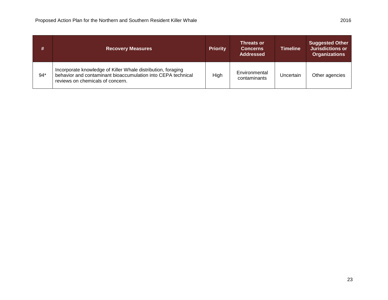| #     | <b>Recovery Measures</b>                                                                                                                                         | <b>Priority</b> | <b>Threats or</b><br><b>Concerns</b><br><b>Addressed</b> | <b>Timeline</b> | <b>Suggested Other</b><br>Jurisdictions or<br><b>Organizations</b> |
|-------|------------------------------------------------------------------------------------------------------------------------------------------------------------------|-----------------|----------------------------------------------------------|-----------------|--------------------------------------------------------------------|
| $94*$ | Incorporate knowledge of Killer Whale distribution, foraging<br>behavior and contaminant bioaccumulation into CEPA technical<br>reviews on chemicals of concern. | High            | Environmental<br>contaminants                            | Uncertain       | Other agencies                                                     |

<u> 1989 - Andrea Santa Alemania, amerikana amerikana amerikana amerikana amerikana amerikana amerikana amerikana</u>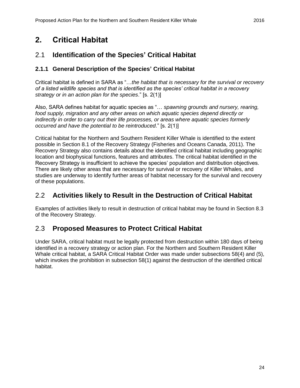# <span id="page-29-0"></span>**2. Critical Habitat**

### <span id="page-29-1"></span>2.1 **Identification of the Species' Critical Habitat**

### <span id="page-29-2"></span>**2.1.1 General Description of the Species' Critical Habitat**

Critical habitat is defined in SARA as "…*the habitat that is necessary for the survival or recovery of a listed wildlife species and that is identified as the species' critical habitat in a recovery strategy or in an action plan for the species*." [s. 2(1)]

Also, SARA defines habitat for aquatic species as "… *spawning grounds and nursery, rearing, food supply, migration and any other areas on which aquatic species depend directly or indirectly in order to carry out their life processes, or areas where aquatic species formerly occurred and have the potential to be reintroduced*." [s. 2(1)]

Critical habitat for the Northern and Southern Resident Killer Whale is identified to the extent possible in Section 8.1 of the Recovery Strategy (Fisheries and Oceans Canada, 2011). The Recovery Strategy also contains details about the identified critical habitat including geographic location and biophysical functions, features and attributes. The critical habitat identified in the Recovery Strategy is insufficient to achieve the species' population and distribution objectives. There are likely other areas that are necessary for survival or recovery of Killer Whales, and studies are underway to identify further areas of habitat necessary for the survival and recovery of these populations.

### <span id="page-29-3"></span>2.2 **Activities likely to Result in the Destruction of Critical Habitat**

Examples of activities likely to result in destruction of critical habitat may be found in Section 8.3 of the Recovery Strategy.

### <span id="page-29-4"></span>2.3 **Proposed Measures to Protect Critical Habitat**

<span id="page-29-5"></span>Under SARA, critical habitat must be legally protected from destruction within 180 days of being identified in a recovery strategy or action plan. For the Northern and Southern Resident Killer Whale critical habitat, a SARA Critical Habitat Order was made under subsections 58(4) and (5), which invokes the prohibition in subsection 58(1) against the destruction of the identified critical habitat.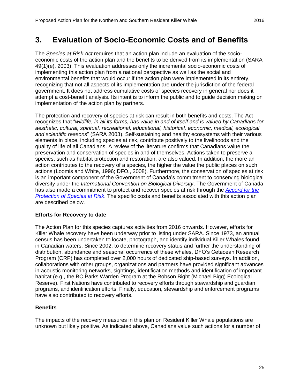### **3. Evaluation of Socio-Economic Costs and of Benefits**

The *Species at Risk Act* requires that an action plan include an evaluation of the socioeconomic costs of the action plan and the benefits to be derived from its implementation (SARA 49(1)(e), 2003). This evaluation addresses only the incremental socio-economic costs of implementing this action plan from a national perspective as well as the social and environmental benefits that would occur if the action plan were implemented in its entirety, recognizing that not all aspects of its implementation are under the jurisdiction of the federal government. It does not address cumulative costs of species recovery in general nor does it attempt a cost-benefit analysis. Its intent is to inform the public and to guide decision making on implementation of the action plan by partners.

The protection and recovery of species at risk can result in both benefits and costs. The Act recognizes that "*wildlife, in all its forms, has value in and of itself and is valued by Canadians for aesthetic, cultural, spiritual, recreational, educational, historical, economic, medical, ecological and scientific reasons*" (SARA 2003). Self-sustaining and healthy ecosystems with their various elements in place, including species at risk, contribute positively to the livelihoods and the quality of life of all Canadians. A review of the literature confirms that Canadians value the preservation and conservation of species in and of themselves. Actions taken to preserve a species, such as habitat protection and restoration, are also valued. In addition, the more an action contributes to the recovery of a species, the higher the value the public places on such actions (Loomis and White, 1996; DFO., 2008). Furthermore, the conservation of species at risk is an important component of the Government of Canada's commitment to conserving biological diversity under the *International Convention on Biological Diversity*. The Government of Canada has also made a commitment to protect and recover species at risk through the *[Accord for the](http://www.ec.gc.ca/media_archive/press/2001/010919_b_e.htm)  [Protection of Species at Risk](http://www.ec.gc.ca/media_archive/press/2001/010919_b_e.htm)*. The specific costs and benefits associated with this action plan are described below.

### **Efforts for Recovery to date**

The Action Plan for this species captures activities from 2016 onwards. However, efforts for Killer Whale recovery have been underway prior to listing under SARA. Since 1973, an annual census has been undertaken to locate, photograph, and identify individual Killer Whales found in Canadian waters. Since 2002, to determine recovery status and further the understanding of distribution, abundance and seasonal occurrence of these whales, DFO's Cetacean Research Program (CRP) has completed over 2,000 hours of dedicated ship-based surveys. In addition, collaborations with other groups, organizations and partners have provided significant advances in acoustic monitoring networks, sightings, identification methods and identification of important habitat (e.g., the BC Parks Warden Program at the Robson Bight (Michael Bigg) Ecological Reserve). First Nations have contributed to recovery efforts through stewardship and guardian programs, and identification efforts. Finally, education, stewardship and enforcement programs have also contributed to recovery efforts.

### **Benefits**

The impacts of the recovery measures in this plan on Resident Killer Whale populations are unknown but likely positive. As indicated above, Canadians value such actions for a number of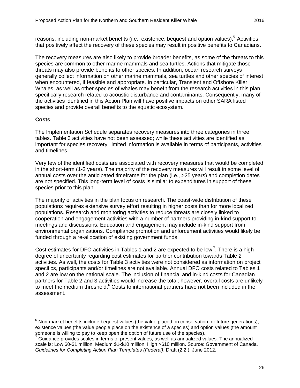reasons, including non-market benefits (i.e., existence, bequest and option values).<sup>6</sup> Activities that positively affect the recovery of these species may result in positive benefits to Canadians.

The recovery measures are also likely to provide broader benefits, as some of the threats to this species are common to other marine mammals and sea turtles. Actions that mitigate those threats may also provide benefits to other species. In addition, ocean research surveys generally collect information on other marine mammals, sea turtles and other species of interest when encountered, if feasible and appropriate. In particular, Transient and Offshore Killer Whales, as well as other species of whales may benefit from the research activities in this plan, specifically research related to acoustic disturbance and contaminants. Consequently, many of the activities identified in this Action Plan will have positive impacts on other SARA listed species and provide overall benefits to the aquatic ecosystem.

#### **Costs**

 $\overline{a}$ 

The Implementation Schedule separates recovery measures into three categories in three tables. Table 3 activities have not been assessed; while these activities are identified as important for species recovery, limited information is available in terms of participants, activities and timelines.

Very few of the identified costs are associated with recovery measures that would be completed in the short-term (1-2 years). The majority of the recovery measures will result in some level of annual costs over the anticipated timeframe for the plan (i.e., >25 years) and completion dates are not specified. This long-term level of costs is similar to expenditures in support of these species prior to this plan.

The majority of activities in the plan focus on research. The coast-wide distribution of these populations requires extensive survey effort resulting in higher costs than for more localized populations. Research and monitoring activities to reduce threats are closely linked to cooperation and engagement activities with a number of partners providing in-kind support to meetings and discussions. Education and engagement may include in-kind support from environmental organizations. Compliance promotion and enforcement activities would likely be funded through a re-allocation of existing government funds.

Cost estimates for DFO activities in Tables 1 and 2 are expected to be low<sup>7</sup>. There is a high degree of uncertainty regarding cost estimates for partner contribution towards Table 2 activities. As well, the costs for Table 3 activities were not considered as information on project specifics, participants and/or timelines are not available. Annual DFO costs related to Tables 1 and 2 are low on the national scale. The inclusion of financial and in-kind costs for Canadian partners for Table 2 and 3 activities would increase the total; however, overall costs are unlikely to meet the medium threshold. $6 \text{ Costs}$  to international partners have not been included in the assessment.

 $6$  Non-market benefits include bequest values (the value placed on conservation for future generations), existence values (the value people place on the existence of a species) and option values (the amount someone is willing to pay to keep open the option of future use of the species).

 $7$  Guidance provides scales in terms of present values, as well as annualized values. The annualized scale is: Low \$0-\$1 million, Medium \$1-\$10 million, High >\$10 million. Source: Government of Canada. *Guidelines for Completing Action Plan Templates (Federal)*. Draft (2.2.). June 2012.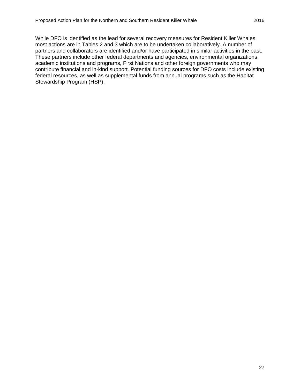<span id="page-32-0"></span>While DFO is identified as the lead for several recovery measures for Resident Killer Whales, most actions are in Tables 2 and 3 which are to be undertaken collaboratively. A number of partners and collaborators are identified and/or have participated in similar activities in the past. These partners include other federal departments and agencies, environmental organizations, academic institutions and programs, First Nations and other foreign governments who may contribute financial and in-kind support. Potential funding sources for DFO costs include existing federal resources, as well as supplemental funds from annual programs such as the Habitat Stewardship Program (HSP).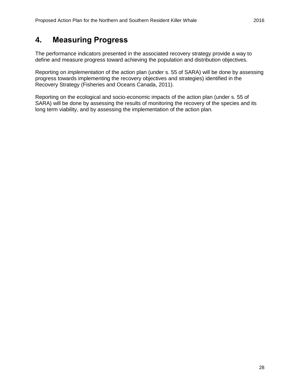# **4. Measuring Progress**

The performance indicators presented in the associated recovery strategy provide a way to define and measure progress toward achieving the population and distribution objectives.

Reporting on *implementation* of the action plan (under s. 55 of SARA) will be done by assessing progress towards implementing the recovery objectives and strategies) identified in the Recovery Strategy (Fisheries and Oceans Canada, 2011).

<span id="page-33-0"></span>Reporting on the ecological and socio-economic impacts of the action plan (under s. 55 of SARA) will be done by assessing the results of monitoring the recovery of the species and its long term viability, and by assessing the implementation of the action plan.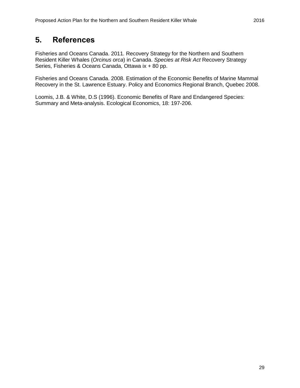### **5. References**

Fisheries and Oceans Canada. 2011. Recovery Strategy for the Northern and Southern Resident Killer Whales (*Orcinus orca*) in Canada. *Species at Risk Act* Recovery Strategy Series, Fisheries & Oceans Canada, Ottawa ix + 80 pp.

Fisheries and Oceans Canada. 2008. Estimation of the Economic Benefits of Marine Mammal Recovery in the St. Lawrence Estuary. Policy and Economics Regional Branch, Quebec 2008.

Loomis, J.B. & White, D.S (1996). Economic Benefits of Rare and Endangered Species: Summary and Meta-analysis. Ecological Economics, 18: 197-206.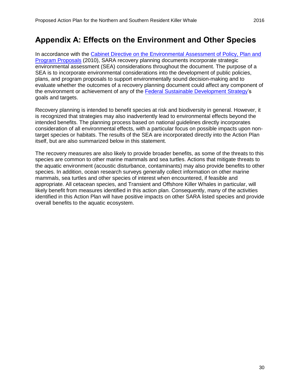# <span id="page-35-0"></span>**Appendix A: Effects on the Environment and Other Species**

In accordance with the [Cabinet Directive on the Environmental Assessment of Policy, Plan and](http://www.ceaa.gc.ca/default.asp?lang=En&n=B3186435-1)  [Program Proposals](http://www.ceaa.gc.ca/default.asp?lang=En&n=B3186435-1) (2010), SARA recovery planning documents incorporate strategic environmental assessment (SEA) considerations throughout the document. The purpose of a SEA is to incorporate environmental considerations into the development of public policies, plans, and program proposals to support environmentally sound decision-making and to evaluate whether the outcomes of a recovery planning document could affect any component of the environment or achievement of any of the [Federal Sustainable Development Strategy'](http://www.ec.gc.ca/dd-sd/default.asp?lang=En&n=A22718BA-1)s goals and targets.

Recovery planning is intended to benefit species at risk and biodiversity in general. However, it is recognized that strategies may also inadvertently lead to environmental effects beyond the intended benefits. The planning process based on national guidelines directly incorporates consideration of all environmental effects, with a particular focus on possible impacts upon nontarget species or habitats. The results of the SEA are incorporated directly into the Action Plan itself, but are also summarized below in this statement.

The recovery measures are also likely to provide broader benefits, as some of the threats to this species are common to other marine mammals and sea turtles. Actions that mitigate threats to the aquatic environment (acoustic disturbance, contaminants) may also provide benefits to other species. In addition, ocean research surveys generally collect information on other marine mammals, sea turtles and other species of interest when encountered, if feasible and appropriate. All cetacean species, and Transient and Offshore Killer Whales in particular, will likely benefit from measures identified in this action plan. Consequently, many of the activities identified in this Action Plan will have positive impacts on other SARA listed species and provide overall benefits to the aquatic ecosystem.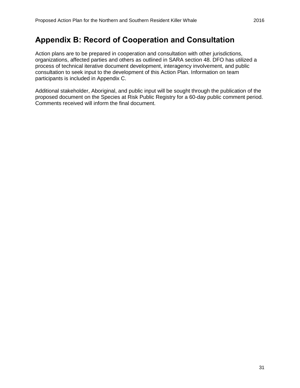# <span id="page-36-0"></span>**Appendix B: Record of Cooperation and Consultation**

Action plans are to be prepared in cooperation and consultation with other jurisdictions, organizations, affected parties and others as outlined in SARA section 48. DFO has utilized a process of technical iterative document development, interagency involvement, and public consultation to seek input to the development of this Action Plan. Information on team participants is included in Appendix C.

Additional stakeholder, Aboriginal, and public input will be sought through the publication of the proposed document on the Species at Risk Public Registry for a 60-day public comment period. Comments received will inform the final document.